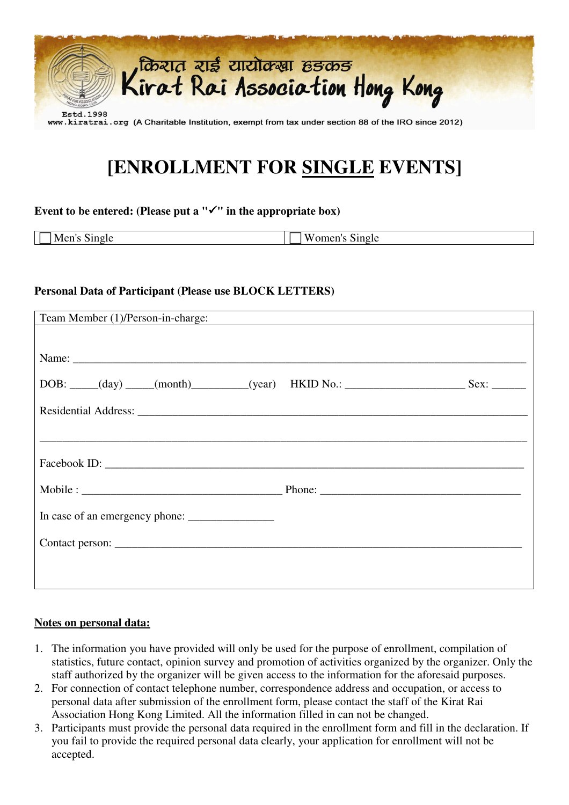

## **[ENROLLMENT FOR SINGLE EVENTS]**

#### Event to be entered: (Please put a  $\forall$ " in the appropriate box)

#### **Personal Data of Participant (Please use BLOCK LETTERS)**

| Team Member (1)/Person-in-charge:                           |  |  |
|-------------------------------------------------------------|--|--|
|                                                             |  |  |
|                                                             |  |  |
| $DOB:$ $(day)$ $(month)$ $(year)$ $HKID No.:$ $Sex:$ $Sex:$ |  |  |
|                                                             |  |  |
|                                                             |  |  |
|                                                             |  |  |
|                                                             |  |  |
|                                                             |  |  |
|                                                             |  |  |
|                                                             |  |  |
|                                                             |  |  |

#### **Notes on personal data:**

- 1. The information you have provided will only be used for the purpose of enrollment, compilation of statistics, future contact, opinion survey and promotion of activities organized by the organizer. Only the staff authorized by the organizer will be given access to the information for the aforesaid purposes.
- 2. For connection of contact telephone number, correspondence address and occupation, or access to personal data after submission of the enrollment form, please contact the staff of the Kirat Rai Association Hong Kong Limited. All the information filled in can not be changed.
- 3. Participants must provide the personal data required in the enrollment form and fill in the declaration. If you fail to provide the required personal data clearly, your application for enrollment will not be accepted.